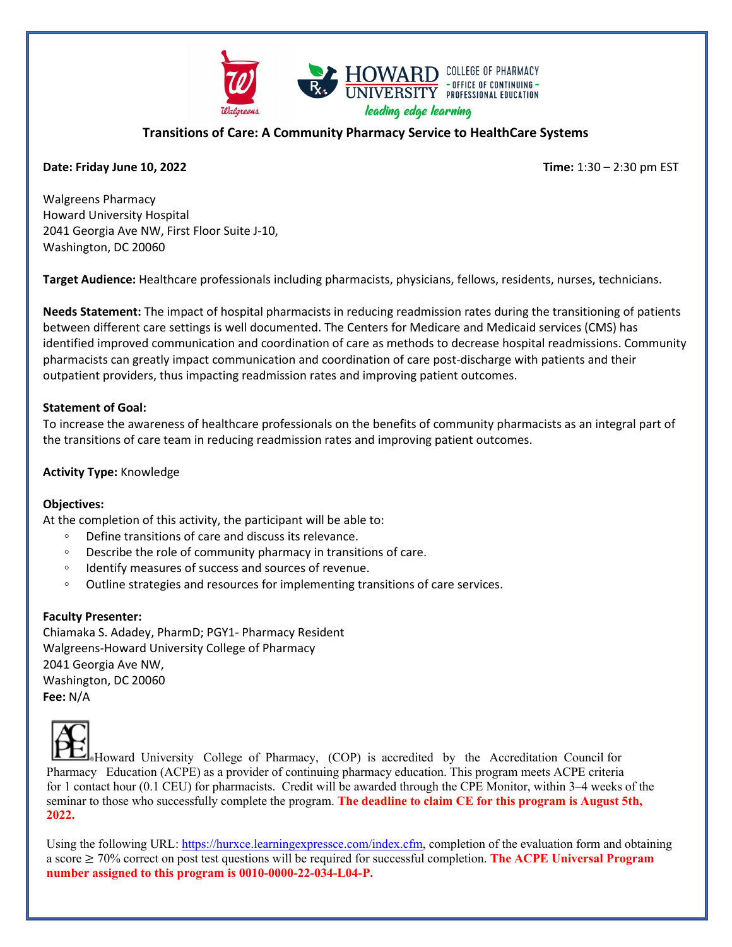

## **Transitions of Care: A Community Pharmacy Service to HealthCare Systems**

### **Date: Friday June 10, 2022 Time:** 1:30 – 2:30 pm EST

Walgreens Pharmacy Howard University Hospital 2041 Georgia Ave NW, First Floor Suite J-10, Washington, DC 20060

**Target Audience:** Healthcare professionals including pharmacists, physicians, fellows, residents, nurses, technicians.

**Needs Statement:** The impact of hospital pharmacists in reducing readmission rates during the transitioning of patients between different care settings is well documented. The Centers for Medicare and Medicaid services (CMS) has identified improved communication and coordination of care as methods to decrease hospital readmissions. Community pharmacists can greatly impact communication and coordination of care post-discharge with patients and their outpatient providers, thus impacting readmission rates and improving patient outcomes.

### **Statement of Goal:**

To increase the awareness of healthcare professionals on the benefits of community pharmacists as an integral part of the transitions of care team in reducing readmission rates and improving patient outcomes.

### **Activity Type:** Knowledge

#### **Objectives:**

At the completion of this activity, the participant will be able to:

- Define transitions of care and discuss its relevance.
- Describe the role of community pharmacy in transitions of care.
- Identify measures of success and sources of revenue.
- Outline strategies and resources for implementing transitions of care services.

#### **Faculty Presenter:**

Chiamaka S. Adadey, PharmD; PGY1- Pharmacy Resident Walgreens-Howard University College of Pharmacy 2041 Georgia Ave NW, Washington, DC 20060 **Fee:** N/A



Howard University College of Pharmacy, (COP) is accredited by the Accreditation Council for Pharmacy Education (ACPE) as a provider of continuing pharmacy education. This program meets ACPE criteria for 1 contact hour (0.1 CEU) for pharmacists. Credit will be awarded through the CPE Monitor, within 3–4 weeks of the seminar to those who successfully complete the program. **The deadline to claim CE for this program is August 5th, 2022.**

Using the following URL: [https://hurxce.learningexpressce.com/index.cfm,](https://hurxce.learningexpressce.com/index.cfm) completion of the evaluation form and obtaining a score ≥ 70% correct on post test questions will be required for successful completion. **The ACPE Universal Program number assigned to this program is 0010-0000-22-034-L04-P.**